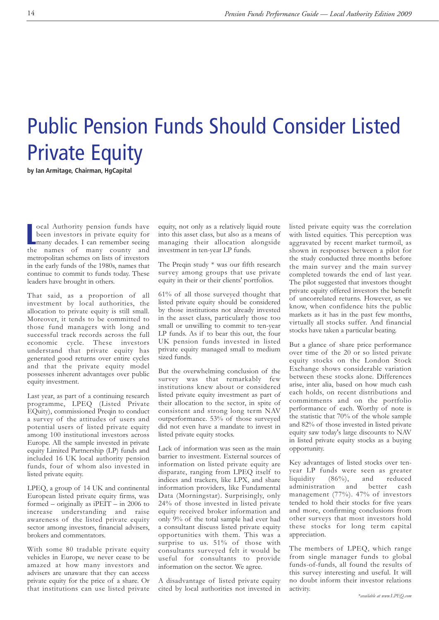## Public Pension Funds Should Consider Listed Private Equity

**by Ian Armitage, Chairman, HgCapital**

**COMEN COMEN CONTROVIDED SET CONTROVER CONTROVIDED SET CONTROVER SEE AND THE CONTROVIDED SEE AND SET CONTROVIDED SEE AND SERVED SEE AND SERVED SEE AND SERVED SEE AND SERVED SEE AND SERVED SEE AND SERVED SEE AND SERVED SEE** ocal Authority pension funds have been investors in private equity for the names of many county and metropolitan schemes on lists of investors in the early funds of the 1980s, names that continue to commit to funds today. These leaders have brought in others.

That said, as a proportion of all investment by local authorities, the allocation to private equity is still small. Moreover, it tends to be committed to those fund managers with long and successful track records across the full economic cycle. These investors understand that private equity has generated good returns over entire cycles and that the private equity model possesses inherent advantages over public equity investment.

Last year, as part of a continuing research programme, LPEQ (Listed Private EQuity), commissioned Preqin to conduct a survey of the attitudes of users and potential users of listed private equity among 100 institutional investors across Europe. All the sample invested in private equity Limited Partnership (LP) funds and included 16 UK local authority pension funds, four of whom also invested in listed private equity.

LPEQ, a group of 14 UK and continental European listed private equity firms, was formed – originally as iPEIT – in 2006 to increase understanding and raise awareness of the listed private equity sector among investors, financial advisers, brokers and commentators.

With some 80 tradable private equity vehicles in Europe, we never cease to be amazed at how many investors and advisers are unaware that they can access private equity for the price of a share. Or that institutions can use listed private equity, not only as a relatively liquid route into this asset class, but also as a means of managing their allocation alongside investment in ten-year LP funds.

The Preqin study \* was our fifth research survey among groups that use private equity in their or their clients' portfolios.

61% of all those surveyed thought that listed private equity should be considered by those institutions not already invested in the asset class, particularly those too small or unwilling to commit to ten-year LP funds. As if to bear this out, the four UK pension funds invested in listed private equity managed small to medium sized funds.

But the overwhelming conclusion of the survey was that remarkably few institutions knew about or considered listed private equity investment as part of their allocation to the sector, in spite of consistent and strong long term NAV outperformance. 53% of those surveyed did not even have a mandate to invest in listed private equity stocks.

Lack of information was seen as the main barrier to investment. External sources of information on listed private equity are disparate, ranging from LPEQ itself to indices and trackers, like LPX, and share information providers, like Fundamental Data (Morningstar). Surprisingly, only 24% of those invested in listed private equity received broker information and only 9% of the total sample had ever had a consultant discuss listed private equity opportunities with them. This was a surprise to us. 51% of those with consultants surveyed felt it would be useful for consultants to provide information on the sector. We agree.

A disadvantage of listed private equity cited by local authorities not invested in listed private equity was the correlation with listed equities. This perception was aggravated by recent market turmoil, as shown in responses between a pilot for the study conducted three months before the main survey and the main survey completed towards the end of last year. The pilot suggested that investors thought private equity offered investors the benefit of uncorrelated returns. However, as we know, when confidence hits the public markets as it has in the past few months, virtually all stocks suffer. And financial stocks have taken a particular beating.

But a glance of share price performance over time of the 20 or so listed private equity stocks on the London Stock Exchange shows considerable variation between these stocks alone. Differences arise, inter alia, based on how much cash each holds, on recent distributions and commitments and on the portfolio performance of each. Worthy of note is the statistic that 70% of the whole sample and 82% of those invested in listed private equity saw today's large discounts to NAV in listed private equity stocks as a buying opportunity.

Key advantages of listed stocks over tenyear LP funds were seen as greater<br>liquidity (86%), and reduced  $(86\%)$ , and reduced administration and better cash management (77%). 47% of investors tended to hold their stocks for five years and more, confirming conclusions from other surveys that most investors hold these stocks for long term capital appreciation.

The members of LPEQ, which range from single manager funds to global funds-of-funds, all found the results of this survey interesting and useful. It will no doubt inform their investor relations activity.